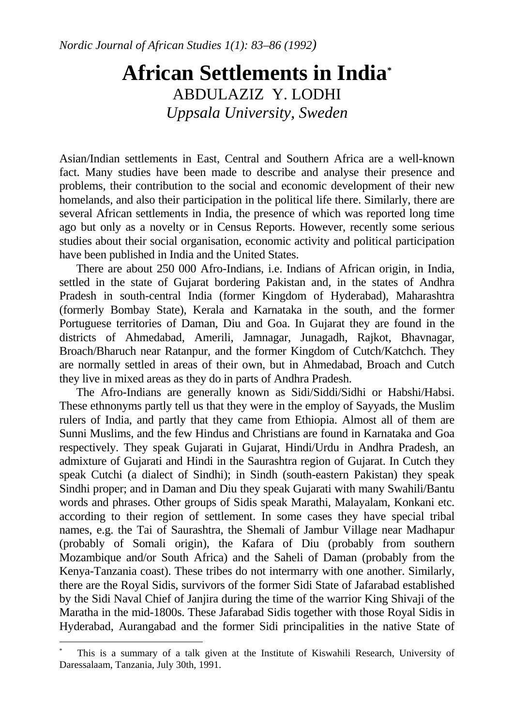## **African Settlements in India\*** ABDULAZIZ Y. LODHI *Uppsala University, Sweden*

Asian/Indian settlements in East, Central and Southern Africa are a well-known fact. Many studies have been made to describe and analyse their presence and problems, their contribution to the social and economic development of their new homelands, and also their participation in the political life there. Similarly, there are several African settlements in India, the presence of which was reported long time ago but only as a novelty or in Census Reports. However, recently some serious studies about their social organisation, economic activity and political participation have been published in India and the United States.

 There are about 250 000 Afro-Indians, i.e. Indians of African origin, in India, settled in the state of Gujarat bordering Pakistan and, in the states of Andhra Pradesh in south-central India (former Kingdom of Hyderabad), Maharashtra (formerly Bombay State), Kerala and Karnataka in the south, and the former Portuguese territories of Daman, Diu and Goa. In Gujarat they are found in the districts of Ahmedabad, Amerili, Jamnagar, Junagadh, Rajkot, Bhavnagar, Broach/Bharuch near Ratanpur, and the former Kingdom of Cutch/Katchch. They are normally settled in areas of their own, but in Ahmedabad, Broach and Cutch they live in mixed areas as they do in parts of Andhra Pradesh.

 The Afro-Indians are generally known as Sidi/Siddi/Sidhi or Habshi/Habsi. These ethnonyms partly tell us that they were in the employ of Sayyads, the Muslim rulers of India, and partly that they came from Ethiopia. Almost all of them are Sunni Muslims, and the few Hindus and Christians are found in Karnataka and Goa respectively. They speak Gujarati in Gujarat, Hindi/Urdu in Andhra Pradesh, an admixture of Gujarati and Hindi in the Saurashtra region of Gujarat. In Cutch they speak Cutchi (a dialect of Sindhi); in Sindh (south-eastern Pakistan) they speak Sindhi proper; and in Daman and Diu they speak Gujarati with many Swahili/Bantu words and phrases. Other groups of Sidis speak Marathi, Malayalam, Konkani etc. according to their region of settlement. In some cases they have special tribal names, e.g. the Tai of Saurashtra, the Shemali of Jambur Village near Madhapur (probably of Somali origin), the Kafara of Diu (probably from southern Mozambique and/or South Africa) and the Saheli of Daman (probably from the Kenya-Tanzania coast). These tribes do not intermarry with one another. Similarly, there are the Royal Sidis, survivors of the former Sidi State of Jafarabad established by the Sidi Naval Chief of Janjira during the time of the warrior King Shivaji of the Maratha in the mid-1800s. These Jafarabad Sidis together with those Royal Sidis in Hyderabad, Aurangabad and the former Sidi principalities in the native State of

1

<sup>\*</sup> This is a summary of a talk given at the Institute of Kiswahili Research, University of Daressalaam, Tanzania, July 30th, 1991.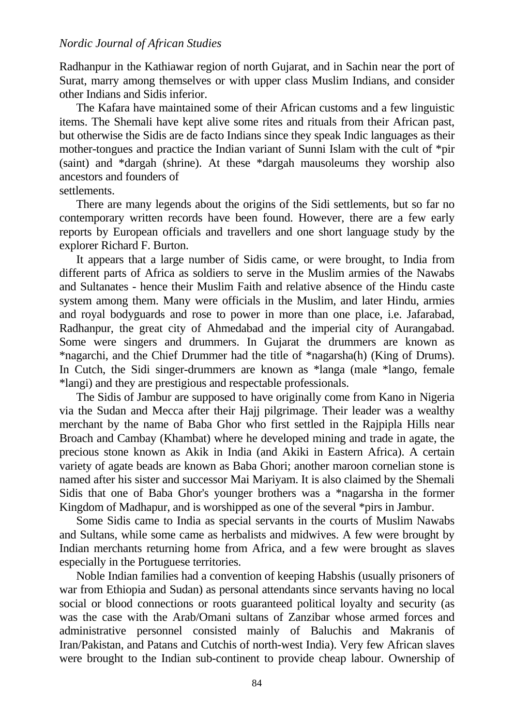Radhanpur in the Kathiawar region of north Gujarat, and in Sachin near the port of Surat, marry among themselves or with upper class Muslim Indians, and consider other Indians and Sidis inferior.

The Kafara have maintained some of their African customs and a few linguistic items. The Shemali have kept alive some rites and rituals from their African past, but otherwise the Sidis are de facto Indians since they speak Indic languages as their mother-tongues and practice the Indian variant of Sunni Islam with the cult of \*pir (saint) and \*dargah (shrine). At these \*dargah mausoleums they worship also ancestors and founders of

settlements.

There are many legends about the origins of the Sidi settlements, but so far no contemporary written records have been found. However, there are a few early reports by European officials and travellers and one short language study by the explorer Richard F. Burton.

It appears that a large number of Sidis came, or were brought, to India from different parts of Africa as soldiers to serve in the Muslim armies of the Nawabs and Sultanates - hence their Muslim Faith and relative absence of the Hindu caste system among them. Many were officials in the Muslim, and later Hindu, armies and royal bodyguards and rose to power in more than one place, i.e. Jafarabad, Radhanpur, the great city of Ahmedabad and the imperial city of Aurangabad. Some were singers and drummers. In Gujarat the drummers are known as \*nagarchi, and the Chief Drummer had the title of \*nagarsha(h) (King of Drums). In Cutch, the Sidi singer-drummers are known as \*langa (male \*lango, female \*langi) and they are prestigious and respectable professionals.

The Sidis of Jambur are supposed to have originally come from Kano in Nigeria via the Sudan and Mecca after their Hajj pilgrimage. Their leader was a wealthy merchant by the name of Baba Ghor who first settled in the Rajpipla Hills near Broach and Cambay (Khambat) where he developed mining and trade in agate, the precious stone known as Akik in India (and Akiki in Eastern Africa). A certain variety of agate beads are known as Baba Ghori; another maroon cornelian stone is named after his sister and successor Mai Mariyam. It is also claimed by the Shemali Sidis that one of Baba Ghor's younger brothers was a \*nagarsha in the former Kingdom of Madhapur, and is worshipped as one of the several \*pirs in Jambur.

Some Sidis came to India as special servants in the courts of Muslim Nawabs and Sultans, while some came as herbalists and midwives. A few were brought by Indian merchants returning home from Africa, and a few were brought as slaves especially in the Portuguese territories.

Noble Indian families had a convention of keeping Habshis (usually prisoners of war from Ethiopia and Sudan) as personal attendants since servants having no local social or blood connections or roots guaranteed political loyalty and security (as was the case with the Arab/Omani sultans of Zanzibar whose armed forces and administrative personnel consisted mainly of Baluchis and Makranis of Iran/Pakistan, and Patans and Cutchis of north-west India). Very few African slaves were brought to the Indian sub-continent to provide cheap labour. Ownership of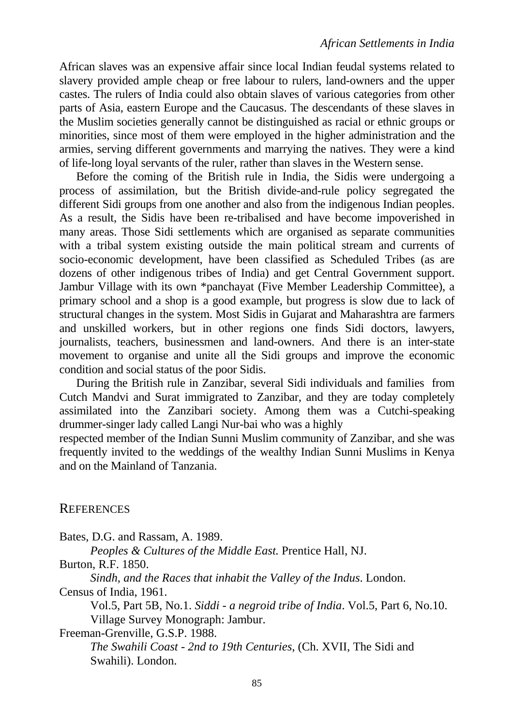African slaves was an expensive affair since local Indian feudal systems related to slavery provided ample cheap or free labour to rulers, land-owners and the upper castes. The rulers of India could also obtain slaves of various categories from other parts of Asia, eastern Europe and the Caucasus. The descendants of these slaves in the Muslim societies generally cannot be distinguished as racial or ethnic groups or minorities, since most of them were employed in the higher administration and the armies, serving different governments and marrying the natives. They were a kind of life-long loyal servants of the ruler, rather than slaves in the Western sense.

Before the coming of the British rule in India, the Sidis were undergoing a process of assimilation, but the British divide-and-rule policy segregated the different Sidi groups from one another and also from the indigenous Indian peoples. As a result, the Sidis have been re-tribalised and have become impoverished in many areas. Those Sidi settlements which are organised as separate communities with a tribal system existing outside the main political stream and currents of socio-economic development, have been classified as Scheduled Tribes (as are dozens of other indigenous tribes of India) and get Central Government support. Jambur Village with its own \*panchayat (Five Member Leadership Committee), a primary school and a shop is a good example, but progress is slow due to lack of structural changes in the system. Most Sidis in Gujarat and Maharashtra are farmers and unskilled workers, but in other regions one finds Sidi doctors, lawyers, journalists, teachers, businessmen and land-owners. And there is an inter-state movement to organise and unite all the Sidi groups and improve the economic condition and social status of the poor Sidis.

During the British rule in Zanzibar, several Sidi individuals and families from Cutch Mandvi and Surat immigrated to Zanzibar, and they are today completely assimilated into the Zanzibari society. Among them was a Cutchi-speaking drummer-singer lady called Langi Nur-bai who was a highly

respected member of the Indian Sunni Muslim community of Zanzibar, and she was frequently invited to the weddings of the wealthy Indian Sunni Muslims in Kenya and on the Mainland of Tanzania.

## **REFERENCES**

Bates, D.G. and Rassam, A. 1989.

*Peoples & Cultures of the Middle East.* Prentice Hall, NJ.

Burton, R.F. 1850.

*Sindh, and the Races that inhabit the Valley of the Indus*. London.

Census of India, 1961.

Vol.5, Part 5B, No.1. *Siddi - a negroid tribe of India*. Vol.5, Part 6, No.10. Village Survey Monograph: Jambur.

Freeman-Grenville, G.S.P. 1988.

*The Swahili Coast - 2nd to 19th Centuries,* (Ch. XVII, The Sidi and Swahili). London.